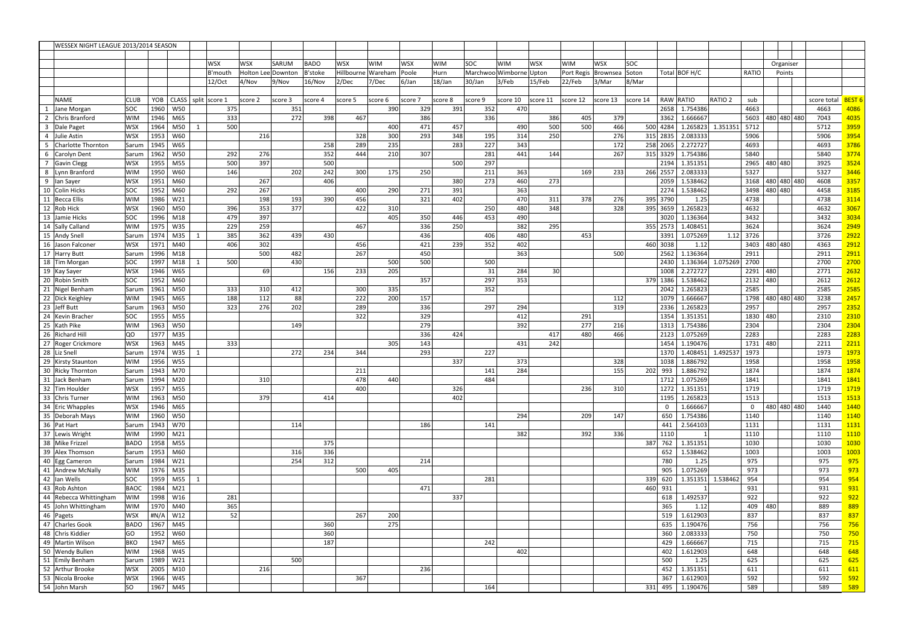| WESSEX NIGHT LEAGUE 2013/2014 SEASON  |                          |              |                      |                               |                    |              |                |                    |            |            |           |           |                   |                 |            |            |          |                  |                               |                                  |             |              |                   |
|---------------------------------------|--------------------------|--------------|----------------------|-------------------------------|--------------------|--------------|----------------|--------------------|------------|------------|-----------|-----------|-------------------|-----------------|------------|------------|----------|------------------|-------------------------------|----------------------------------|-------------|--------------|-------------------|
|                                       |                          |              |                      |                               |                    |              |                |                    |            |            |           |           |                   |                 |            |            |          |                  |                               |                                  |             |              |                   |
|                                       |                          |              |                      | <b>WSX</b>                    | <b>WSX</b>         | <b>SARUM</b> | <b>BADO</b>    | <b>WSX</b>         | <b>WIM</b> | <b>WSX</b> | WIM       | SOC       | <b>WIM</b>        | <b>WSX</b>      | <b>WIM</b> | <b>WSX</b> | SOC      |                  |                               |                                  | Organiser   |              |                   |
|                                       |                          |              |                      | B'mouth                       | Holton Lee Downton |              | <b>B'stoke</b> | Hillbourne Wareham |            | Poole      | Hurn      |           | Marchwoo Wimborne | Upton           | Port Regis | Brownsea   | Soton    |                  | Total BOF H/C                 | RATIO                            | Points      |              |                   |
|                                       |                          |              |                      | 12/Oct                        | 4/Nov              | 9/Nov        | 16/Nov         | 2/Dec              | 7/Dec      | 6/Jan      | $18/$ Jan | $30/$ Jan | $3$ /Feb          | 15/Feb          | 22/Feb     | 3/Mar      | 8/Mar    |                  |                               |                                  |             |              |                   |
|                                       |                          |              |                      |                               |                    |              |                |                    |            |            |           |           |                   |                 |            |            |          |                  |                               |                                  |             |              |                   |
| <b>NAME</b>                           | <b>CLUB</b>              |              |                      | YOB   CLASS   split   score 1 | score 2            | score 3      | score 4        | score 5            | score 6    | score 7    | score 8   | score 9   | score 10          | score 11        | score 12   | score 13   | score 14 |                  | RAW RATIO                     | RATIO <sub>2</sub><br>sub        |             | score total  | BEST <sub>6</sub> |
| Jane Morgan                           | SOC                      | 1960         | W50                  | 375                           |                    | 351          |                |                    | 390        | 329        | 391       | 352       | 470               |                 |            |            |          |                  | 2658 1.754386                 | 4663                             |             | 4663         | 4086              |
| Chris Branford                        | <b>WIM</b>               | 1946         | M65                  | 333<br>500                    |                    | 272          | 398            | 467                | 400        | 386<br>471 | 457       | 336       | 490               | 386             | 405<br>500 | 379        |          | 3362<br>500 4284 | 1.666667<br>1.265823 1.351351 | 5603                             | 480 480 480 | 7043         | 4035<br>3959      |
| Dale Paget<br>Julie Astin             | <b>WSX</b><br><b>WSX</b> | 1964<br>1953 | M50<br>W60           | 1                             | 216                |              |                | 328                | 300        | 293        | 348       | 195       | 314               | 500<br>250      |            | 466<br>276 |          | 315 2835         | 2.083333                      | 5712<br>5906                     |             | 5712<br>5906 | 3954              |
| Charlotte Thornton                    | Sarum                    | 1945         | W65                  |                               |                    |              | 258            | 289                | 235        |            | 283       | 227       | 343               |                 |            | 172        |          | 258 2065         | 2.272727                      | 4693                             |             | 4693         | 3786              |
| Carolyn Dent<br>-6                    | Sarum                    | 1962         | <b>W50</b>           | 292                           | 276                |              | 352            | 444                | 210        | 307        |           | 281       | 441               | 144             |            | 267        |          | 315 3329         | 1.754386                      | 5840                             |             | 5840         | 3774              |
| <b>Gavin Clegg</b>                    | <b>WSX</b>               | 1955         | M55                  | 500                           | 397                |              | 500            |                    |            |            | 500       | 297       |                   |                 |            |            |          | 2194             | 1.351351                      | 2965<br>480 480                  |             | 3925         | 3524              |
| Lynn Branford<br>-8                   | <b>WIM</b>               | 1950         | W60                  | 146                           |                    | 202          | 242            | 300                | 175        | 250        |           | 211       | 363               |                 | 169        | 233        |          | 266 2557         | 2.083333                      | 5327                             |             | 5327         | 3446              |
| lan Sayer<br>-9                       | <b>WSX</b>               | 1951         | M60                  |                               | 267                |              | 406            |                    |            |            | 380       | 273       | 460               | 273             |            |            |          | 2059             | 1.538462                      | 3168                             | 480 480 480 | 4608         | 3357              |
| Colin Hicks<br>10                     | SOC                      | 1952         | M60                  | 292                           | 267                |              |                | 400                | 290        | 271        | 391       |           | 363               |                 |            |            |          | 2274             | 1.538462                      | 3498<br>480 480                  |             | 4458         | 3185              |
| 11<br>Becca Ellis                     | <b>WIM</b>               | 1986         | W21                  |                               | 198                | 193          | 390            | 456                |            | 321        | 402       |           | 470               | 311             | 378        | 276        |          | 395 3790         | 1.25                          | 4738                             |             | 4738         | 3114              |
| 12 Rob Hick                           | <b>WSX</b>               | 1960         | M50                  | 396                           | 353                | 377          |                | 422                | 310        |            |           | 250       | 480               | 348             |            | 328        |          | 395 3659         | 1.265823                      | 4632                             |             | 4632         | 3067              |
| 13 Jamie Hicks                        | SOC                      | 1996         | M18                  | 479                           | 397                |              |                |                    | 405        | 350        | 446       | 453       | 490               |                 |            |            |          | 3020             | 1.136364                      | 3432                             |             | 3432         | 3034              |
| 14 Sally Calland                      | <b>WIM</b>               | 1975         | W35                  | 229                           | 259                |              |                | 467                |            | 336        | 250       |           | 382               | 295             |            |            |          | 355 2573         | 1.408451                      | 3624                             |             | 3624         | 2949              |
| 15 Andy Snell                         | Sarum                    | 1974         | M35                  | 385<br>1                      | 362                | 439          | 430            |                    |            | 436        |           | 406       | 480               |                 | 453        |            |          | 3391             | 1.075269                      | $1.12$ 3726                      |             | 3726         | 2922              |
| 16 Jason Falconer                     | <b>WSX</b>               | 1971         | M40                  | 406                           | 302                |              |                | 456                |            | 421        | 239       | 352       | 402               |                 |            |            | 460      | 3038             | 1.12                          | 3403 480 480                     |             | 4363         | 2912              |
| 17 Harry Butt                         | Sarum                    | 1996         | M18                  |                               | 500                | 482          |                | 267                |            | 450        |           |           | 363               |                 |            | 500        |          | 2562             | 1.136364                      | 2911                             |             | 2911         | 2911              |
| 18 Tim Morgan                         | SOC                      | 1997         | M18                  | 500<br>1                      |                    | 430          |                |                    | 500        | 500        |           | 500       |                   |                 |            |            |          | 2430             | 1.136364                      | 2700<br>1.075269                 |             | 2700         | 2700              |
| 19 Kay Sayer                          | <b>WSX</b>               | 1946         | W65                  |                               | 69                 |              | 156            | 233                | 205        |            |           | 31        | 284               | 30 <sup>1</sup> |            |            |          | 1008             | 2.272727                      | 2291 480                         |             | 2771         | 2632              |
| 20 Robin Smith                        | <b>SOC</b>               | 1952         | M60                  |                               |                    |              |                |                    |            | 357        |           | 297       | 353               |                 |            |            | 379      | 1386             | 1.538462                      | 2132 480                         |             | 2612         | 2612              |
| 21 Nigel Benham                       | Sarum                    | 1961         | M50                  | 333                           | 310                | 412          |                | 300                | 335        |            |           | 352       |                   |                 |            |            |          | 2042             | 1.265823                      | 2585                             |             | 2585         | 2585              |
| 22 Dick Keighley                      | <b>WIM</b>               | 1945         | M65                  | 188                           | 112                | 88           |                | 222                | 200        | 157        |           |           |                   |                 |            | 112        |          | 1079             | 1.666667                      | 1798 480 480 480                 |             | 3238         | 2457              |
| 23 Jeff Butt                          | Sarum                    | 1963         | M50                  | 323                           | 276                | 202          |                | 289                |            | 336        |           | 297       | 294               |                 |            | 319        |          | 2336             | 1.265823                      | 2957                             |             | 2957         | 2352              |
| 24   Kevin Bracher                    | SOC                      | 1955         | M55                  |                               |                    |              |                | 322                |            | 329        |           |           | 412               |                 | 291        |            |          | 1354             | 1.351351                      | 1830 480                         |             | 2310         | 2310              |
| 25 Kath Pike                          | <b>WIM</b>               | 1963         | <b>W50</b>           |                               |                    | 149          |                |                    |            | 279        |           |           | 392               |                 | 277        | 216        |          |                  | 1313 1.754386                 | 2304                             |             | 2304         | 2304              |
| 26 Richard Hill<br>27 Roger Crickmore | QO<br><b>WSX</b>         | 1977<br>1963 | M35<br>M45           | 333                           |                    |              |                |                    | 305        | 336<br>143 | 424       |           | 431               | 417<br>242      | 480        | 466        |          | 2123<br>1454     | 1.075269<br>1.190476          | 2283<br>1731 480                 |             | 2283<br>2211 | 2283<br>2211      |
| 28 Liz Snell                          | Sarum                    | 1974         | W35                  | $\mathbf{1}$                  |                    | 272          | 234            | 344                |            | 293        |           | 227       |                   |                 |            |            |          | 1370             | 1.408451                      | 1.492537<br>1973                 |             | 1973         | 1973              |
| 29 Kirsty Staunton                    | <b>WIM</b>               | 1956         | W55                  |                               |                    |              |                |                    |            |            | 337       |           | 373               |                 |            | 328        |          | 1038             | 1.886792                      | 1958                             |             | 1958         | 1958              |
| 30 Ricky Thornton                     | Sarum                    | 1943         | M70                  |                               |                    |              |                | 211                |            |            |           | 141       | 284               |                 |            | 155        | 202      | 993              | 1.886792                      | 1874                             |             | 1874         | 1874              |
| 31 Jack Benham                        | Sarum   1994   M20       |              |                      |                               | 310                |              |                | 478                | 440        |            |           | 484       |                   |                 |            |            |          |                  | 1712 1.075269                 | 1841                             |             | 1841         | 1841              |
| 32 Tim Houlder                        | <b>WSX</b>               |              | 1957   M55           |                               |                    |              |                | 400                |            |            | 326       |           |                   |                 | 236        | 310        |          |                  | 1272 1.351351                 | 1719                             |             | 1719         | 1719              |
| 33 Chris Turner                       | <b>WIM</b>               |              | 1963 M50             |                               | 379                |              | 414            |                    |            |            | 402       |           |                   |                 |            |            |          |                  | 1195 1.265823                 | 1513                             |             | 1513         | 1513              |
| 34 Eric Whapples                      | <b>WSX</b>               |              | 1946 M65             |                               |                    |              |                |                    |            |            |           |           |                   |                 |            |            |          | $\mathbf{0}$     | 1.666667                      | $\mathbf{0}$                     | 480 480 480 | 1440         | 1440              |
| 35 Deborah Mays                       | <b>WIM</b>               |              | 1960 W50             |                               |                    |              |                |                    |            |            |           |           | 294               |                 | 209        | 147        |          |                  | 650 1.754386                  | 1140                             |             | 1140         | 1140              |
| 36 Pat Hart                           | Sarum                    |              | 1943 W70             |                               |                    | 114          |                |                    |            | 186        |           | 141       |                   |                 |            |            |          |                  | 441 2.564103                  | 1131                             |             | 1131         | 1131              |
| 37 Lewis Wright                       | <b>WIM</b>               |              | 1990 M21             |                               |                    |              |                |                    |            |            |           |           | 382               |                 | 392        | 336        |          | 1110             |                               | 1110                             |             | 1110         | 1110              |
| 38 Mike Frizzel                       | BADO   1958   M55        |              |                      |                               |                    |              | 375            |                    |            |            |           |           |                   |                 |            |            | 387      |                  | 762 1.351351                  | 1030                             |             | 1030         | 1030              |
| 39 Alex Thomson                       | Sarum                    |              | 1953 M60             |                               |                    | 316          | 336            |                    |            |            |           |           |                   |                 |            |            |          |                  | 652 1.538462                  | 1003                             |             | 1003         | 1003              |
| 40 Egg Cameron                        | Sarum                    |              | 1984 W21             |                               |                    | 254          | 312            |                    |            | 214        |           |           |                   |                 |            |            |          | 780              | 1.25                          | 975                              |             | 975          | 975               |
| 41 Andrew McNally                     | <b>WIM</b>               |              | 1976 M35             |                               |                    |              |                | 500                | 405        |            |           |           |                   |                 |            |            |          |                  | 905   1.075269                | 973                              |             | 973          | 973               |
| 42 Ian Wells                          | <b>SOC</b>               | 1959         | $M55$ 1              |                               |                    |              |                |                    |            |            |           | 281       |                   |                 |            |            | 339      |                  |                               | 620   1.351351   1.538462<br>954 |             | 954          | 954               |
| 43 Rob Ashton                         | BAOC                     |              | 1984 M21             |                               |                    |              |                |                    |            | 471        |           |           |                   |                 |            |            | 460      | 931              |                               | 931                              |             | 931          | 931               |
| 44 Rebecca Whittingham                | <b>WIM</b>               |              | 1998 W16             | 281                           |                    |              |                |                    |            |            | 337       |           |                   |                 |            |            |          |                  | 618 1.492537                  | 922                              |             | 922          | 922               |
| 45 John Whittingham                   | <b>WIM</b>               |              | 1970 M40             | 365                           |                    |              |                |                    |            |            |           |           |                   |                 |            |            |          | 365              | 1.12                          | 409 480                          |             | 889          | 889               |
| $46$ Pagets                           | <b>WSX</b>               |              | $#N/A$ W12           | 52                            |                    |              |                | 267                | 200        |            |           |           |                   |                 |            |            |          |                  | 519 1.612903                  | 837                              |             | 837          | 837               |
| 47 Charles Gook<br>48 Chris Kiddier   | <b>BADO</b><br>GO        |              | 1967 M45<br>1952 W60 |                               |                    |              | 360<br>360     |                    | 275        |            |           |           |                   |                 |            |            |          |                  | 635 1.190476<br>2.083333      | 756                              |             | 756          | 756               |
| 49 Martin Wilson                      | BKO                      | 1947         | M65                  |                               |                    |              | 187            |                    |            |            |           | 242       |                   |                 |            |            |          | 360              | 429 1.666667                  | 750<br>715                       |             | 750<br>715   | 750<br>715        |
| 50 Wendy Bullen                       | <b>WIM</b>               |              | 1968   W45           |                               |                    |              |                |                    |            |            |           |           | 402               |                 |            |            |          |                  | 402 1.612903                  | 648                              |             | 648          | 648               |
| 51 Emily Benham                       | Sarum                    |              | 1989 W21             |                               |                    | 500          |                |                    |            |            |           |           |                   |                 |            |            |          | 500              | 1.25                          | 625                              |             | 625          | 625               |
| 52 Arthur Brooke                      | WSX                      |              | 2005 M10             |                               | 216                |              |                |                    |            | 236        |           |           |                   |                 |            |            |          |                  | 452 1.351351                  | 611                              |             | 611          | 611               |
| 53 Nicola Brooke                      | <b>WSX</b>               |              | 1966 W45             |                               |                    |              |                | 367                |            |            |           |           |                   |                 |            |            |          |                  | 367 1.612903                  | 592                              |             | 592          | 592               |
| 54 John Marsh                         | SO.                      |              | 1967 M45             |                               |                    |              |                |                    |            |            |           | 164       |                   |                 |            |            |          |                  | 331 495 1.190476              | 589                              |             | 589          | 589               |
|                                       |                          |              |                      |                               |                    |              |                |                    |            |            |           |           |                   |                 |            |            |          |                  |                               |                                  |             |              |                   |